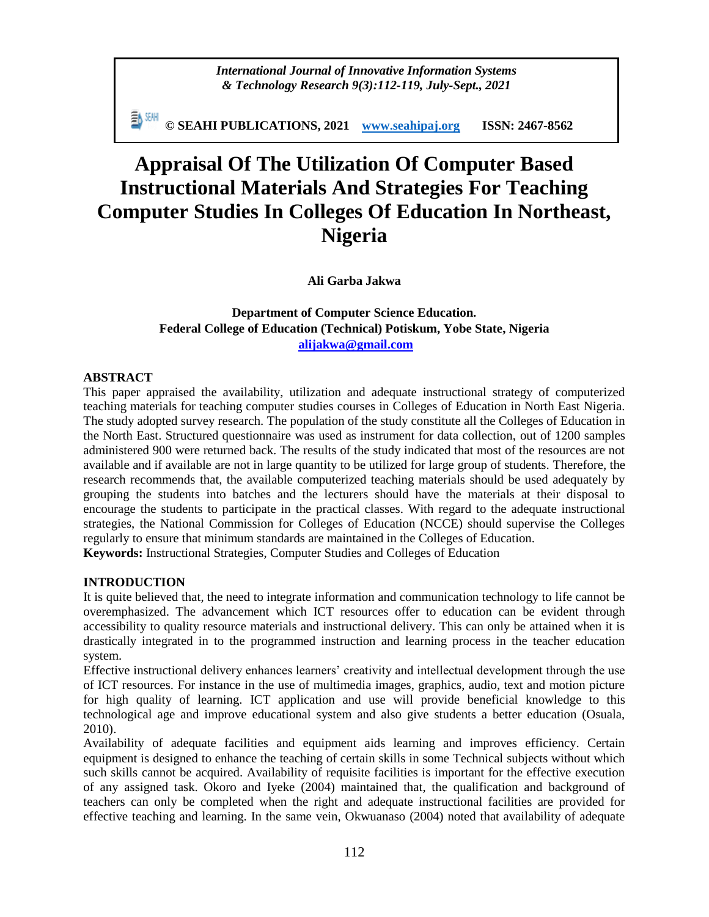*International Journal of Innovative Information Systems & Technology Research 9(3):112-119, July-Sept., 2021*

**© SEAHI PUBLICATIONS, 2021 [www.seahipaj.org](http://www.seahipaj.org/) ISSN: 2467-8562**

# **Appraisal Of The Utilization Of Computer Based Instructional Materials And Strategies For Teaching Computer Studies In Colleges Of Education In Northeast, Nigeria**

**Ali Garba Jakwa**

**Department of Computer Science Education. Federal College of Education (Technical) Potiskum, Yobe State, Nigeria [alijakwa@gmail.com](mailto:alijakwa@gmail.com)**

# **ABSTRACT**

This paper appraised the availability, utilization and adequate instructional strategy of computerized teaching materials for teaching computer studies courses in Colleges of Education in North East Nigeria. The study adopted survey research. The population of the study constitute all the Colleges of Education in the North East. Structured questionnaire was used as instrument for data collection, out of 1200 samples administered 900 were returned back. The results of the study indicated that most of the resources are not available and if available are not in large quantity to be utilized for large group of students. Therefore, the research recommends that, the available computerized teaching materials should be used adequately by grouping the students into batches and the lecturers should have the materials at their disposal to encourage the students to participate in the practical classes. With regard to the adequate instructional strategies, the National Commission for Colleges of Education (NCCE) should supervise the Colleges regularly to ensure that minimum standards are maintained in the Colleges of Education.

**Keywords:** Instructional Strategies, Computer Studies and Colleges of Education

# **INTRODUCTION**

It is quite believed that, the need to integrate information and communication technology to life cannot be overemphasized. The advancement which ICT resources offer to education can be evident through accessibility to quality resource materials and instructional delivery. This can only be attained when it is drastically integrated in to the programmed instruction and learning process in the teacher education system.

Effective instructional delivery enhances learners' creativity and intellectual development through the use of ICT resources. For instance in the use of multimedia images, graphics, audio, text and motion picture for high quality of learning. ICT application and use will provide beneficial knowledge to this technological age and improve educational system and also give students a better education (Osuala, 2010).

Availability of adequate facilities and equipment aids learning and improves efficiency. Certain equipment is designed to enhance the teaching of certain skills in some Technical subjects without which such skills cannot be acquired. Availability of requisite facilities is important for the effective execution of any assigned task. Okoro and Iyeke (2004) maintained that, the qualification and background of teachers can only be completed when the right and adequate instructional facilities are provided for effective teaching and learning. In the same vein, Okwuanaso (2004) noted that availability of adequate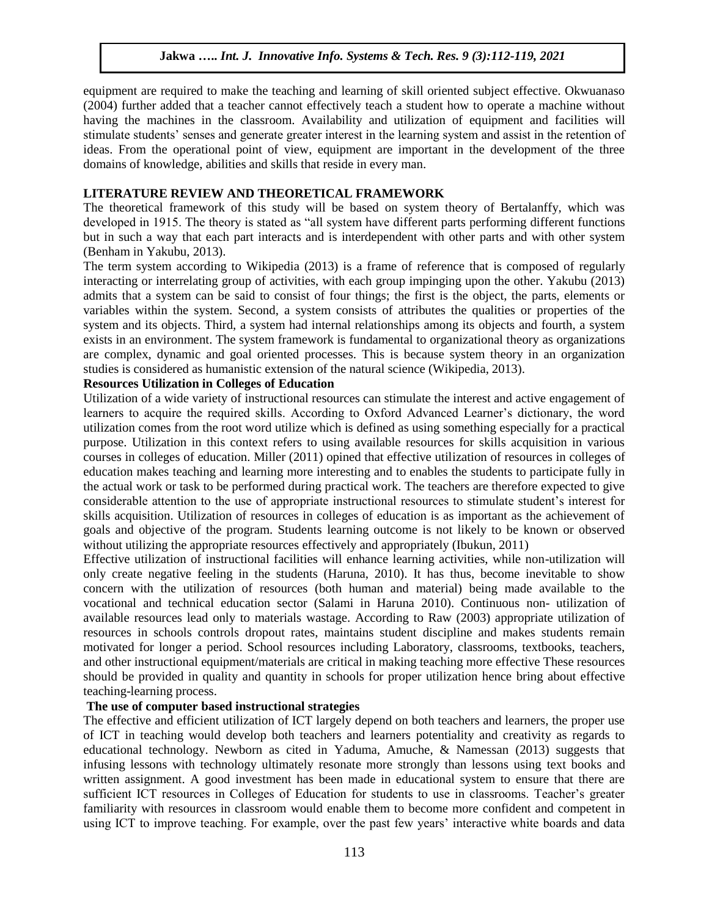equipment are required to make the teaching and learning of skill oriented subject effective. Okwuanaso (2004) further added that a teacher cannot effectively teach a student how to operate a machine without having the machines in the classroom. Availability and utilization of equipment and facilities will stimulate students' senses and generate greater interest in the learning system and assist in the retention of ideas. From the operational point of view, equipment are important in the development of the three domains of knowledge, abilities and skills that reside in every man.

## **LITERATURE REVIEW AND THEORETICAL FRAMEWORK**

The theoretical framework of this study will be based on system theory of Bertalanffy, which was developed in 1915. The theory is stated as "all system have different parts performing different functions but in such a way that each part interacts and is interdependent with other parts and with other system (Benham in Yakubu, 2013).

The term system according to Wikipedia (2013) is a frame of reference that is composed of regularly interacting or interrelating group of activities, with each group impinging upon the other. Yakubu (2013) admits that a system can be said to consist of four things; the first is the object, the parts, elements or variables within the system. Second, a system consists of attributes the qualities or properties of the system and its objects. Third, a system had internal relationships among its objects and fourth, a system exists in an environment. The system framework is fundamental to organizational theory as organizations are complex, dynamic and goal oriented processes. This is because system theory in an organization studies is considered as humanistic extension of the natural science (Wikipedia, 2013).

# **Resources Utilization in Colleges of Education**

Utilization of a wide variety of instructional resources can stimulate the interest and active engagement of learners to acquire the required skills. According to Oxford Advanced Learner's dictionary, the word utilization comes from the root word utilize which is defined as using something especially for a practical purpose. Utilization in this context refers to using available resources for skills acquisition in various courses in colleges of education. Miller (2011) opined that effective utilization of resources in colleges of education makes teaching and learning more interesting and to enables the students to participate fully in the actual work or task to be performed during practical work. The teachers are therefore expected to give considerable attention to the use of appropriate instructional resources to stimulate student's interest for skills acquisition. Utilization of resources in colleges of education is as important as the achievement of goals and objective of the program. Students learning outcome is not likely to be known or observed without utilizing the appropriate resources effectively and appropriately (Ibukun, 2011)

Effective utilization of instructional facilities will enhance learning activities, while non-utilization will only create negative feeling in the students (Haruna, 2010). It has thus, become inevitable to show concern with the utilization of resources (both human and material) being made available to the vocational and technical education sector (Salami in Haruna 2010). Continuous non- utilization of available resources lead only to materials wastage. According to Raw (2003) appropriate utilization of resources in schools controls dropout rates, maintains student discipline and makes students remain motivated for longer a period. School resources including Laboratory, classrooms, textbooks, teachers, and other instructional equipment/materials are critical in making teaching more effective These resources should be provided in quality and quantity in schools for proper utilization hence bring about effective teaching-learning process.

## **The use of computer based instructional strategies**

The effective and efficient utilization of ICT largely depend on both teachers and learners, the proper use of ICT in teaching would develop both teachers and learners potentiality and creativity as regards to educational technology. Newborn as cited in Yaduma, Amuche, & Namessan (2013) suggests that infusing lessons with technology ultimately resonate more strongly than lessons using text books and written assignment. A good investment has been made in educational system to ensure that there are sufficient ICT resources in Colleges of Education for students to use in classrooms. Teacher's greater familiarity with resources in classroom would enable them to become more confident and competent in using ICT to improve teaching. For example, over the past few years' interactive white boards and data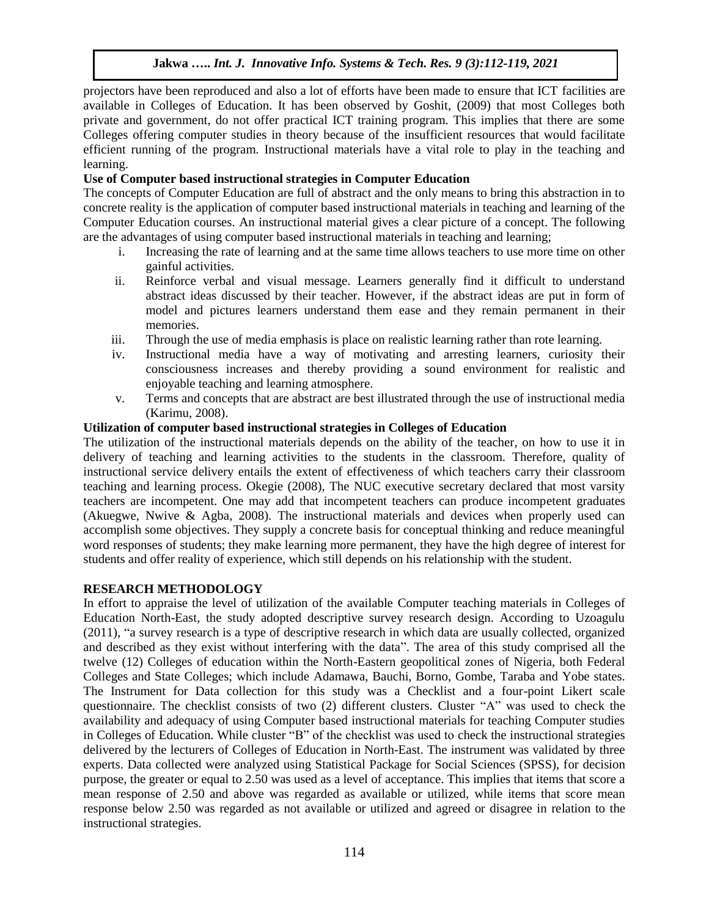projectors have been reproduced and also a lot of efforts have been made to ensure that ICT facilities are available in Colleges of Education. It has been observed by Goshit, (2009) that most Colleges both private and government, do not offer practical ICT training program. This implies that there are some Colleges offering computer studies in theory because of the insufficient resources that would facilitate efficient running of the program. Instructional materials have a vital role to play in the teaching and learning.

# **Use of Computer based instructional strategies in Computer Education**

The concepts of Computer Education are full of abstract and the only means to bring this abstraction in to concrete reality is the application of computer based instructional materials in teaching and learning of the Computer Education courses. An instructional material gives a clear picture of a concept. The following are the advantages of using computer based instructional materials in teaching and learning;

- i. Increasing the rate of learning and at the same time allows teachers to use more time on other gainful activities.
- ii. Reinforce verbal and visual message. Learners generally find it difficult to understand abstract ideas discussed by their teacher. However, if the abstract ideas are put in form of model and pictures learners understand them ease and they remain permanent in their memories.
- iii. Through the use of media emphasis is place on realistic learning rather than rote learning.
- iv. Instructional media have a way of motivating and arresting learners, curiosity their consciousness increases and thereby providing a sound environment for realistic and enjoyable teaching and learning atmosphere.
- v. Terms and concepts that are abstract are best illustrated through the use of instructional media (Karimu, 2008).

#### **Utilization of computer based instructional strategies in Colleges of Education**

The utilization of the instructional materials depends on the ability of the teacher, on how to use it in delivery of teaching and learning activities to the students in the classroom. Therefore, quality of instructional service delivery entails the extent of effectiveness of which teachers carry their classroom teaching and learning process. Okegie (2008), The NUC executive secretary declared that most varsity teachers are incompetent. One may add that incompetent teachers can produce incompetent graduates (Akuegwe, Nwive & Agba, 2008). The instructional materials and devices when properly used can accomplish some objectives. They supply a concrete basis for conceptual thinking and reduce meaningful word responses of students; they make learning more permanent, they have the high degree of interest for students and offer reality of experience, which still depends on his relationship with the student.

## **RESEARCH METHODOLOGY**

In effort to appraise the level of utilization of the available Computer teaching materials in Colleges of Education North-East, the study adopted descriptive survey research design. According to Uzoagulu (2011), "a survey research is a type of descriptive research in which data are usually collected, organized and described as they exist without interfering with the data". The area of this study comprised all the twelve (12) Colleges of education within the North-Eastern geopolitical zones of Nigeria, both Federal Colleges and State Colleges; which include Adamawa, Bauchi, Borno, Gombe, Taraba and Yobe states. The Instrument for Data collection for this study was a Checklist and a four-point Likert scale questionnaire. The checklist consists of two (2) different clusters. Cluster "A" was used to check the availability and adequacy of using Computer based instructional materials for teaching Computer studies in Colleges of Education. While cluster "B" of the checklist was used to check the instructional strategies delivered by the lecturers of Colleges of Education in North-East. The instrument was validated by three experts. Data collected were analyzed using Statistical Package for Social Sciences (SPSS), for decision purpose, the greater or equal to 2.50 was used as a level of acceptance. This implies that items that score a mean response of 2.50 and above was regarded as available or utilized, while items that score mean response below 2.50 was regarded as not available or utilized and agreed or disagree in relation to the instructional strategies.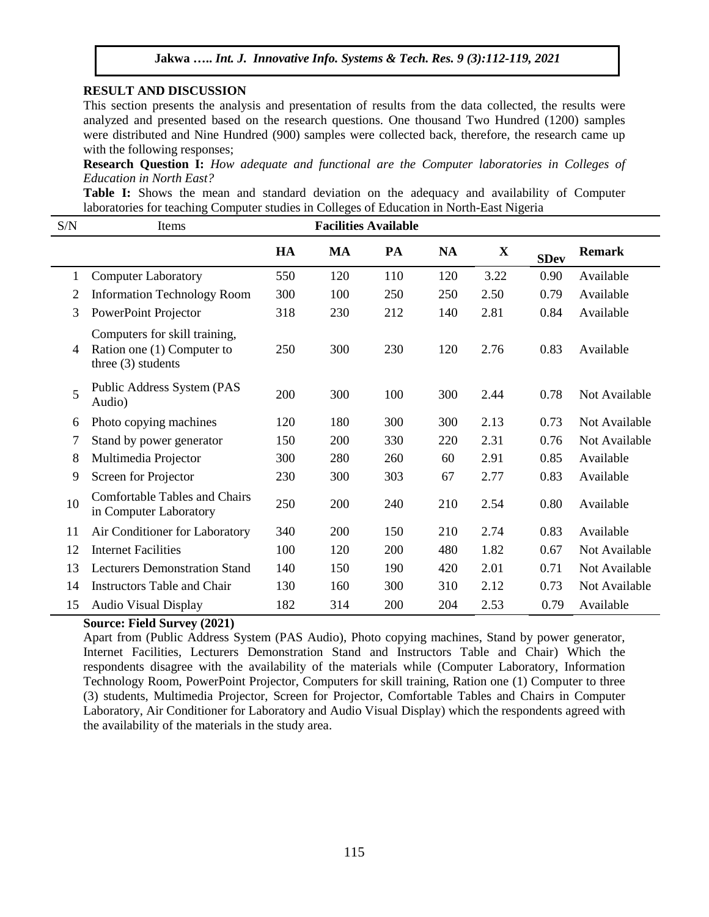#### **RESULT AND DISCUSSION**

This section presents the analysis and presentation of results from the data collected, the results were analyzed and presented based on the research questions. One thousand Two Hundred (1200) samples were distributed and Nine Hundred (900) samples were collected back, therefore, the research came up with the following responses;

**Research Question I:** *How adequate and functional are the Computer laboratories in Colleges of Education in North East?*

**Table I:** Shows the mean and standard deviation on the adequacy and availability of Computer laboratories for teaching Computer studies in Colleges of Education in North-East Nigeria

| S/N | Items                                                                               | <b>Facilities Available</b> |     |     |           |             |             |               |
|-----|-------------------------------------------------------------------------------------|-----------------------------|-----|-----|-----------|-------------|-------------|---------------|
|     |                                                                                     | HA                          | MA  | PA  | <b>NA</b> | $\mathbf X$ | <b>SDev</b> | <b>Remark</b> |
| 1   | <b>Computer Laboratory</b>                                                          | 550                         | 120 | 110 | 120       | 3.22        | 0.90        | Available     |
| 2   | <b>Information Technology Room</b>                                                  | 300                         | 100 | 250 | 250       | 2.50        | 0.79        | Available     |
| 3   | PowerPoint Projector                                                                | 318                         | 230 | 212 | 140       | 2.81        | 0.84        | Available     |
| 4   | Computers for skill training,<br>Ration one (1) Computer to<br>three $(3)$ students | 250                         | 300 | 230 | 120       | 2.76        | 0.83        | Available     |
| 5   | Public Address System (PAS<br>Audio)                                                | 200                         | 300 | 100 | 300       | 2.44        | 0.78        | Not Available |
| 6   | Photo copying machines                                                              | 120                         | 180 | 300 | 300       | 2.13        | 0.73        | Not Available |
| 7   | Stand by power generator                                                            | 150                         | 200 | 330 | 220       | 2.31        | 0.76        | Not Available |
| 8   | Multimedia Projector                                                                | 300                         | 280 | 260 | 60        | 2.91        | 0.85        | Available     |
| 9   | Screen for Projector                                                                | 230                         | 300 | 303 | 67        | 2.77        | 0.83        | Available     |
| 10  | <b>Comfortable Tables and Chairs</b><br>in Computer Laboratory                      | 250                         | 200 | 240 | 210       | 2.54        | 0.80        | Available     |
| 11  | Air Conditioner for Laboratory                                                      | 340                         | 200 | 150 | 210       | 2.74        | 0.83        | Available     |
| 12  | <b>Internet Facilities</b>                                                          | 100                         | 120 | 200 | 480       | 1.82        | 0.67        | Not Available |
| 13  | <b>Lecturers Demonstration Stand</b>                                                | 140                         | 150 | 190 | 420       | 2.01        | 0.71        | Not Available |
| 14  | <b>Instructors Table and Chair</b>                                                  | 130                         | 160 | 300 | 310       | 2.12        | 0.73        | Not Available |
| 15  | <b>Audio Visual Display</b>                                                         | 182                         | 314 | 200 | 204       | 2.53        | 0.79        | Available     |

#### **Source: Field Survey (2021)**

Apart from (Public Address System (PAS Audio), Photo copying machines, Stand by power generator, Internet Facilities, Lecturers Demonstration Stand and Instructors Table and Chair) Which the respondents disagree with the availability of the materials while (Computer Laboratory, Information Technology Room, PowerPoint Projector, Computers for skill training, Ration one (1) Computer to three (3) students, Multimedia Projector, Screen for Projector, Comfortable Tables and Chairs in Computer Laboratory, Air Conditioner for Laboratory and Audio Visual Display) which the respondents agreed with the availability of the materials in the study area.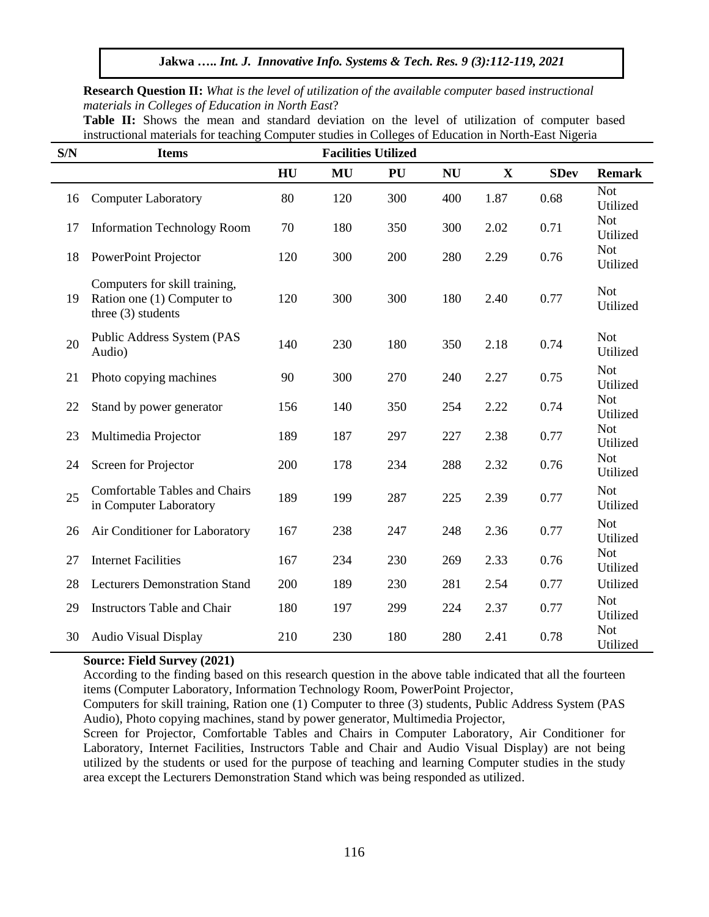**Research Question II:** *What is the level of utilization of the available computer based instructional materials in Colleges of Education in North East*?

**Table II:** Shows the mean and standard deviation on the level of utilization of computer based instructional materials for teaching Computer studies in Colleges of Education in North-East Nigeria

| S/N | <b>Items</b>                                                                        | <b>Facilities Utilized</b> |     |     |           |              |             |                        |
|-----|-------------------------------------------------------------------------------------|----------------------------|-----|-----|-----------|--------------|-------------|------------------------|
|     |                                                                                     | HU                         | MU  | PU  | <b>NU</b> | $\mathbf{X}$ | <b>SDev</b> | <b>Remark</b>          |
| 16  | <b>Computer Laboratory</b>                                                          | 80                         | 120 | 300 | 400       | 1.87         | 0.68        | <b>Not</b><br>Utilized |
| 17  | <b>Information Technology Room</b>                                                  | 70                         | 180 | 350 | 300       | 2.02         | 0.71        | <b>Not</b><br>Utilized |
| 18  | PowerPoint Projector                                                                | 120                        | 300 | 200 | 280       | 2.29         | 0.76        | <b>Not</b><br>Utilized |
| 19  | Computers for skill training,<br>Ration one (1) Computer to<br>three $(3)$ students | 120                        | 300 | 300 | 180       | 2.40         | 0.77        | <b>Not</b><br>Utilized |
| 20  | Public Address System (PAS<br>Audio)                                                | 140                        | 230 | 180 | 350       | 2.18         | 0.74        | <b>Not</b><br>Utilized |
| 21  | Photo copying machines                                                              | 90                         | 300 | 270 | 240       | 2.27         | 0.75        | <b>Not</b><br>Utilized |
| 22  | Stand by power generator                                                            | 156                        | 140 | 350 | 254       | 2.22         | 0.74        | <b>Not</b><br>Utilized |
| 23  | Multimedia Projector                                                                | 189                        | 187 | 297 | 227       | 2.38         | 0.77        | <b>Not</b><br>Utilized |
| 24  | Screen for Projector                                                                | 200                        | 178 | 234 | 288       | 2.32         | 0.76        | <b>Not</b><br>Utilized |
| 25  | <b>Comfortable Tables and Chairs</b><br>in Computer Laboratory                      | 189                        | 199 | 287 | 225       | 2.39         | 0.77        | <b>Not</b><br>Utilized |
| 26  | Air Conditioner for Laboratory                                                      | 167                        | 238 | 247 | 248       | 2.36         | 0.77        | <b>Not</b><br>Utilized |
| 27  | <b>Internet Facilities</b>                                                          | 167                        | 234 | 230 | 269       | 2.33         | 0.76        | <b>Not</b><br>Utilized |
| 28  | <b>Lecturers Demonstration Stand</b>                                                | 200                        | 189 | 230 | 281       | 2.54         | 0.77        | Utilized               |
| 29  | <b>Instructors Table and Chair</b>                                                  | 180                        | 197 | 299 | 224       | 2.37         | 0.77        | <b>Not</b><br>Utilized |
| 30  | <b>Audio Visual Display</b>                                                         | 210                        | 230 | 180 | 280       | 2.41         | 0.78        | <b>Not</b><br>Utilized |

## **Source: Field Survey (2021)**

According to the finding based on this research question in the above table indicated that all the fourteen items (Computer Laboratory, Information Technology Room, PowerPoint Projector,

Computers for skill training, Ration one (1) Computer to three (3) students, Public Address System (PAS Audio), Photo copying machines, stand by power generator, Multimedia Projector,

Screen for Projector, Comfortable Tables and Chairs in Computer Laboratory, Air Conditioner for Laboratory, Internet Facilities, Instructors Table and Chair and Audio Visual Display) are not being utilized by the students or used for the purpose of teaching and learning Computer studies in the study area except the Lecturers Demonstration Stand which was being responded as utilized.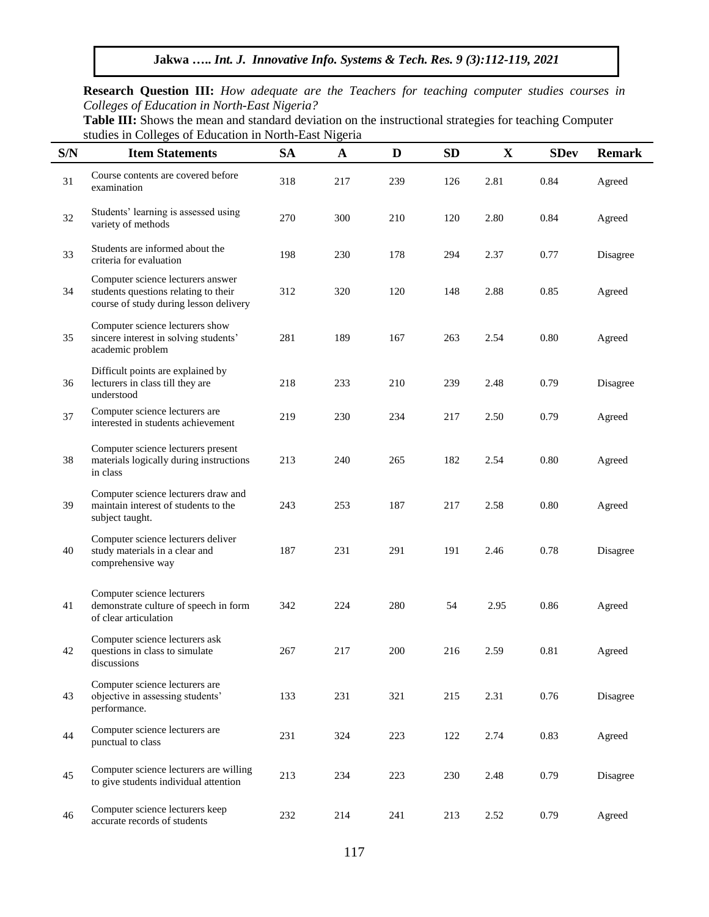**Research Question III:** *How adequate are the Teachers for teaching computer studies courses in Colleges of Education in North-East Nigeria?*

**Table III:** Shows the mean and standard deviation on the instructional strategies for teaching Computer studies in Colleges of Education in North-East Nigeria

l.

| S/N | $\frac{1}{2}$ or $\frac{1}{2}$ and $\frac{1}{2}$ and $\frac{1}{2}$ and $\frac{1}{2}$ and $\frac{1}{2}$ and $\frac{1}{2}$ and $\frac{1}{2}$ and $\frac{1}{2}$ and $\frac{1}{2}$ and $\frac{1}{2}$ and $\frac{1}{2}$ and $\frac{1}{2}$ and $\frac{1}{2}$ and $\frac{1}{2}$ and $\frac{1}{2}$ an<br><b>Item Statements</b> | <b>SA</b> | 0<br>$\mathbf A$ | D   | <b>SD</b> | X    | <b>SDev</b> | <b>Remark</b> |
|-----|-------------------------------------------------------------------------------------------------------------------------------------------------------------------------------------------------------------------------------------------------------------------------------------------------------------------------|-----------|------------------|-----|-----------|------|-------------|---------------|
| 31  | Course contents are covered before<br>examination                                                                                                                                                                                                                                                                       | 318       | 217              | 239 | 126       | 2.81 | 0.84        | Agreed        |
| 32  | Students' learning is assessed using<br>variety of methods                                                                                                                                                                                                                                                              | 270       | 300              | 210 | 120       | 2.80 | 0.84        | Agreed        |
| 33  | Students are informed about the<br>criteria for evaluation                                                                                                                                                                                                                                                              | 198       | 230              | 178 | 294       | 2.37 | 0.77        | Disagree      |
| 34  | Computer science lecturers answer<br>students questions relating to their<br>course of study during lesson delivery                                                                                                                                                                                                     | 312       | 320              | 120 | 148       | 2.88 | 0.85        | Agreed        |
| 35  | Computer science lecturers show<br>sincere interest in solving students'<br>academic problem                                                                                                                                                                                                                            | 281       | 189              | 167 | 263       | 2.54 | $0.80\,$    | Agreed        |
| 36  | Difficult points are explained by<br>lecturers in class till they are<br>understood                                                                                                                                                                                                                                     | 218       | 233              | 210 | 239       | 2.48 | 0.79        | Disagree      |
| 37  | Computer science lecturers are<br>interested in students achievement                                                                                                                                                                                                                                                    | 219       | 230              | 234 | 217       | 2.50 | 0.79        | Agreed        |
| 38  | Computer science lecturers present<br>materials logically during instructions<br>in class                                                                                                                                                                                                                               | 213       | 240              | 265 | 182       | 2.54 | 0.80        | Agreed        |
| 39  | Computer science lecturers draw and<br>maintain interest of students to the<br>subject taught.                                                                                                                                                                                                                          | 243       | 253              | 187 | 217       | 2.58 | 0.80        | Agreed        |
| 40  | Computer science lecturers deliver<br>study materials in a clear and<br>comprehensive way                                                                                                                                                                                                                               | 187       | 231              | 291 | 191       | 2.46 | 0.78        | Disagree      |
| 41  | Computer science lecturers<br>demonstrate culture of speech in form<br>of clear articulation                                                                                                                                                                                                                            | 342       | 224              | 280 | 54        | 2.95 | 0.86        | Agreed        |
| 42  | Computer science lecturers ask<br>questions in class to simulate<br>discussions                                                                                                                                                                                                                                         | 267       | 217              | 200 | 216       | 2.59 | 0.81        | Agreed        |
| 43  | Computer science lecturers are<br>objective in assessing students'<br>performance.                                                                                                                                                                                                                                      | 133       | 231              | 321 | 215       | 2.31 | 0.76        | Disagree      |
| 44  | Computer science lecturers are<br>punctual to class                                                                                                                                                                                                                                                                     | 231       | 324              | 223 | 122       | 2.74 | 0.83        | Agreed        |
| 45  | Computer science lecturers are willing<br>to give students individual attention                                                                                                                                                                                                                                         | 213       | 234              | 223 | 230       | 2.48 | 0.79        | Disagree      |
| 46  | Computer science lecturers keep<br>accurate records of students                                                                                                                                                                                                                                                         | 232       | 214              | 241 | 213       | 2.52 | 0.79        | Agreed        |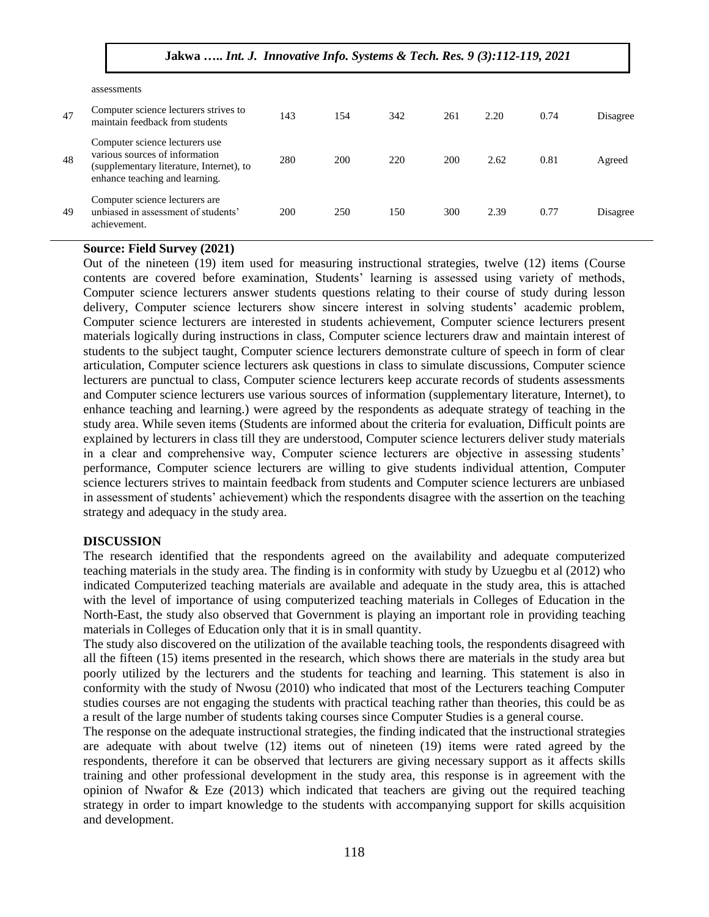|    | assessments                                                                                                                                    |     |     |     |     |      |      |          |
|----|------------------------------------------------------------------------------------------------------------------------------------------------|-----|-----|-----|-----|------|------|----------|
| 47 | Computer science lecturers strives to<br>maintain feedback from students                                                                       | 143 | 154 | 342 | 261 | 2.20 | 0.74 | Disagree |
| 48 | Computer science lecturers use<br>various sources of information<br>(supplementary literature, Internet), to<br>enhance teaching and learning. | 280 | 200 | 220 | 200 | 2.62 | 0.81 | Agreed   |
| 49 | Computer science lecturers are<br>unbiased in assessment of students'<br>achievement.                                                          | 200 | 250 | 150 | 300 | 2.39 | 0.77 | Disagree |

## **Source: Field Survey (2021)**

Out of the nineteen (19) item used for measuring instructional strategies, twelve (12) items (Course contents are covered before examination, Students' learning is assessed using variety of methods, Computer science lecturers answer students questions relating to their course of study during lesson delivery, Computer science lecturers show sincere interest in solving students' academic problem, Computer science lecturers are interested in students achievement, Computer science lecturers present materials logically during instructions in class, Computer science lecturers draw and maintain interest of students to the subject taught, Computer science lecturers demonstrate culture of speech in form of clear articulation, Computer science lecturers ask questions in class to simulate discussions, Computer science lecturers are punctual to class, Computer science lecturers keep accurate records of students assessments and Computer science lecturers use various sources of information (supplementary literature, Internet), to enhance teaching and learning.) were agreed by the respondents as adequate strategy of teaching in the study area. While seven items (Students are informed about the criteria for evaluation, Difficult points are explained by lecturers in class till they are understood, Computer science lecturers deliver study materials in a clear and comprehensive way, Computer science lecturers are objective in assessing students' performance, Computer science lecturers are willing to give students individual attention, Computer science lecturers strives to maintain feedback from students and Computer science lecturers are unbiased in assessment of students' achievement) which the respondents disagree with the assertion on the teaching strategy and adequacy in the study area.

#### **DISCUSSION**

The research identified that the respondents agreed on the availability and adequate computerized teaching materials in the study area. The finding is in conformity with study by Uzuegbu et al (2012) who indicated Computerized teaching materials are available and adequate in the study area, this is attached with the level of importance of using computerized teaching materials in Colleges of Education in the North-East, the study also observed that Government is playing an important role in providing teaching materials in Colleges of Education only that it is in small quantity.

The study also discovered on the utilization of the available teaching tools, the respondents disagreed with all the fifteen (15) items presented in the research, which shows there are materials in the study area but poorly utilized by the lecturers and the students for teaching and learning. This statement is also in conformity with the study of Nwosu (2010) who indicated that most of the Lecturers teaching Computer studies courses are not engaging the students with practical teaching rather than theories, this could be as a result of the large number of students taking courses since Computer Studies is a general course.

The response on the adequate instructional strategies, the finding indicated that the instructional strategies are adequate with about twelve (12) items out of nineteen (19) items were rated agreed by the respondents, therefore it can be observed that lecturers are giving necessary support as it affects skills training and other professional development in the study area, this response is in agreement with the opinion of Nwafor & Eze (2013) which indicated that teachers are giving out the required teaching strategy in order to impart knowledge to the students with accompanying support for skills acquisition and development.